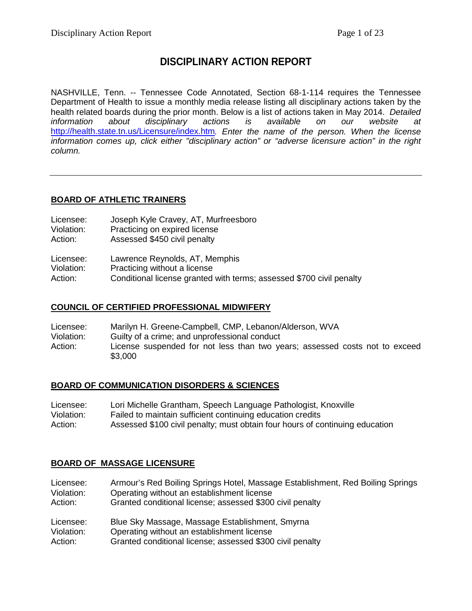## **DISCIPLINARY ACTION REPORT**

NASHVILLE, Tenn. -- Tennessee Code Annotated, Section 68-1-114 requires the Tennessee Department of Health to issue a monthly media release listing all disciplinary actions taken by the health related boards during the prior month. Below is a list of actions taken in May 2014. *Detailed information about disciplinary actions is available on our website at*  <http://health.state.tn.us/Licensure/index.htm>*. Enter the name of the person. When the license information comes up, click either "disciplinary action" or "adverse licensure action" in the right column.*

## **BOARD OF ATHLETIC TRAINERS**

| Licensee: |  | Joseph Kyle Cravey, AT, Murfreesboro |
|-----------|--|--------------------------------------|
| .         |  |                                      |

- Violation: Practicing on expired license<br>Action: Assessed \$450 civil penalty
- Assessed \$450 civil penalty

- Violation: Practicing without a license
- Action: Conditional license granted with terms; assessed \$700 civil penalty

## **COUNCIL OF CERTIFIED PROFESSIONAL MIDWIFERY**

Licensee: Marilyn H. Greene-Campbell, CMP, Lebanon/Alderson, WVA Violation: Guilty of a crime; and unprofessional conduct Action: License suspended for not less than two years; assessed costs not to exceed \$3,000

## **BOARD OF COMMUNICATION DISORDERS & SCIENCES**

Licensee: Lori Michelle Grantham, Speech Language Pathologist, Knoxville Violation: Failed to maintain sufficient continuing education credits Action: Assessed \$100 civil penalty; must obtain four hours of continuing education

## **BOARD OF MASSAGE LICENSURE**

- Licensee: Armour's Red Boiling Springs Hotel, Massage Establishment, Red Boiling Springs Violation: Operating without an establishment license Action: Granted conditional license; assessed \$300 civil penalty Licensee: Blue Sky Massage, Massage Establishment, Smyrna Violation: Operating without an establishment license
- Action: Granted conditional license; assessed \$300 civil penalty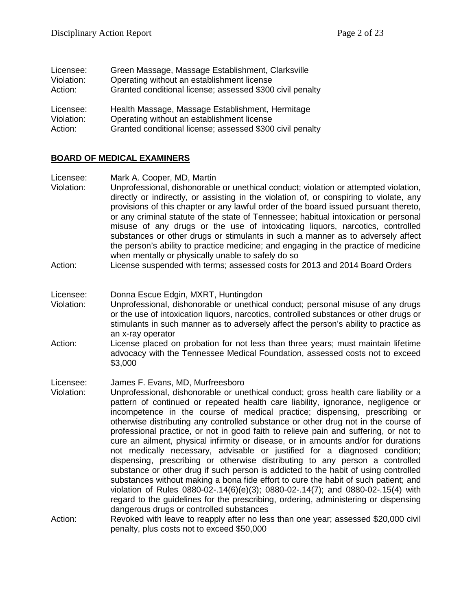| Licensee:  | Green Massage, Massage Establishment, Clarksville         |
|------------|-----------------------------------------------------------|
| Violation: | Operating without an establishment license                |
| Action:    | Granted conditional license; assessed \$300 civil penalty |
| Licensee:  | Health Massage, Massage Establishment, Hermitage          |
| Violation: | Operating without an establishment license                |
| Action:    | Granted conditional license; assessed \$300 civil penalty |

#### **BOARD OF MEDICAL EXAMINERS**

Licensee: Mark A. Cooper, MD, Martin

- Violation: Unprofessional, dishonorable or unethical conduct; violation or attempted violation, directly or indirectly, or assisting in the violation of, or conspiring to violate, any provisions of this chapter or any lawful order of the board issued pursuant thereto, or any criminal statute of the state of Tennessee; habitual intoxication or personal misuse of any drugs or the use of intoxicating liquors, narcotics, controlled substances or other drugs or stimulants in such a manner as to adversely affect the person's ability to practice medicine; and engaging in the practice of medicine when mentally or physically unable to safely do so
- Action: License suspended with terms; assessed costs for 2013 and 2014 Board Orders
- Licensee: Donna Escue Edgin, MXRT, Huntingdon
- Violation: Unprofessional, dishonorable or unethical conduct; personal misuse of any drugs or the use of intoxication liquors, narcotics, controlled substances or other drugs or stimulants in such manner as to adversely affect the person's ability to practice as an x-ray operator
- Action: License placed on probation for not less than three years; must maintain lifetime advocacy with the Tennessee Medical Foundation, assessed costs not to exceed \$3,000
- Licensee: James F. Evans, MD, Murfreesboro
- Violation: Unprofessional, dishonorable or unethical conduct; gross health care liability or a pattern of continued or repeated health care liability, ignorance, negligence or incompetence in the course of medical practice; dispensing, prescribing or otherwise distributing any controlled substance or other drug not in the course of professional practice, or not in good faith to relieve pain and suffering, or not to cure an ailment, physical infirmity or disease, or in amounts and/or for durations not medically necessary, advisable or justified for a diagnosed condition; dispensing, prescribing or otherwise distributing to any person a controlled substance or other drug if such person is addicted to the habit of using controlled substances without making a bona fide effort to cure the habit of such patient; and violation of Rules 0880-02-.14(6)(e)(3); 0880-02-.14(7); and 0880-02-.15(4) with regard to the guidelines for the prescribing, ordering, administering or dispensing dangerous drugs or controlled substances
- Action: Revoked with leave to reapply after no less than one year; assessed \$20,000 civil penalty, plus costs not to exceed \$50,000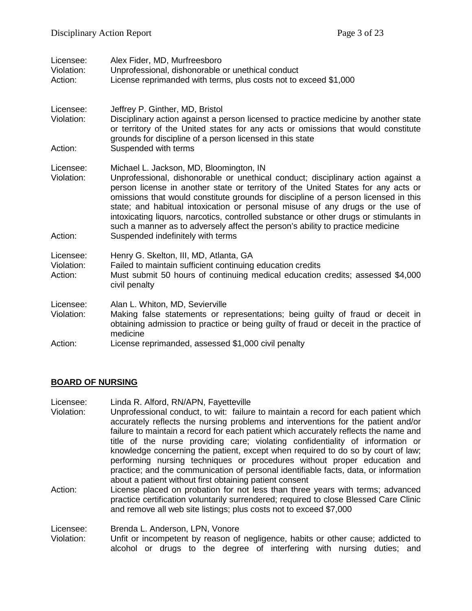| Licensee:<br>Violation:<br>Action: | Alex Fider, MD, Murfreesboro<br>Unprofessional, dishonorable or unethical conduct<br>License reprimanded with terms, plus costs not to exceed \$1,000                                                                                                                                                                                                                                                                                                                                                                                                                                                     |
|------------------------------------|-----------------------------------------------------------------------------------------------------------------------------------------------------------------------------------------------------------------------------------------------------------------------------------------------------------------------------------------------------------------------------------------------------------------------------------------------------------------------------------------------------------------------------------------------------------------------------------------------------------|
| Licensee:<br>Violation:<br>Action: | Jeffrey P. Ginther, MD, Bristol<br>Disciplinary action against a person licensed to practice medicine by another state<br>or territory of the United states for any acts or omissions that would constitute<br>grounds for discipline of a person licensed in this state<br>Suspended with terms                                                                                                                                                                                                                                                                                                          |
| Licensee:<br>Violation:<br>Action: | Michael L. Jackson, MD, Bloomington, IN<br>Unprofessional, dishonorable or unethical conduct; disciplinary action against a<br>person license in another state or territory of the United States for any acts or<br>omissions that would constitute grounds for discipline of a person licensed in this<br>state; and habitual intoxication or personal misuse of any drugs or the use of<br>intoxicating liquors, narcotics, controlled substance or other drugs or stimulants in<br>such a manner as to adversely affect the person's ability to practice medicine<br>Suspended indefinitely with terms |
| Licensee:<br>Violation:<br>Action: | Henry G. Skelton, III, MD, Atlanta, GA<br>Failed to maintain sufficient continuing education credits<br>Must submit 50 hours of continuing medical education credits; assessed \$4,000<br>civil penalty                                                                                                                                                                                                                                                                                                                                                                                                   |
| Licensee:<br>Violation:            | Alan L. Whiton, MD, Sevierville<br>Making false statements or representations; being guilty of fraud or deceit in<br>obtaining admission to practice or being guilty of fraud or deceit in the practice of<br>medicine                                                                                                                                                                                                                                                                                                                                                                                    |
| Action:                            | License reprimanded, assessed \$1,000 civil penalty                                                                                                                                                                                                                                                                                                                                                                                                                                                                                                                                                       |

#### **BOARD OF NURSING**

- Licensee: Linda R. Alford, RN/APN, Fayetteville
- Violation: Unprofessional conduct, to wit: failure to maintain a record for each patient which accurately reflects the nursing problems and interventions for the patient and/or failure to maintain a record for each patient which accurately reflects the name and title of the nurse providing care; violating confidentiality of information or knowledge concerning the patient, except when required to do so by court of law; performing nursing techniques or procedures without proper education and practice; and the communication of personal identifiable facts, data, or information about a patient without first obtaining patient consent
- Action: License placed on probation for not less than three years with terms; advanced practice certification voluntarily surrendered; required to close Blessed Care Clinic and remove all web site listings; plus costs not to exceed \$7,000

Licensee: Brenda L. Anderson, LPN, Vonore

Violation: Unfit or incompetent by reason of negligence, habits or other cause; addicted to alcohol or drugs to the degree of interfering with nursing duties; and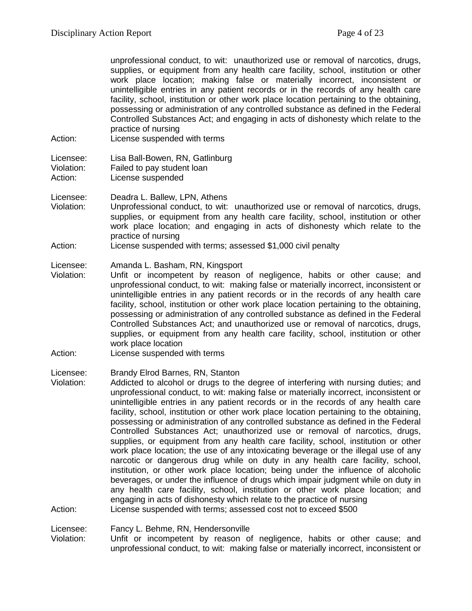|         | unprofessional conduct, to wit: unauthorized use or removal of narcotics, drugs,        |
|---------|-----------------------------------------------------------------------------------------|
|         | supplies, or equipment from any health care facility, school, institution or other      |
|         | work place location; making false or materially incorrect, inconsistent or              |
|         | unintelligible entries in any patient records or in the records of any health care      |
|         | facility, school, institution or other work place location pertaining to the obtaining, |
|         | possessing or administration of any controlled substance as defined in the Federal      |
|         | Controlled Substances Act; and engaging in acts of dishonesty which relate to the       |
|         | practice of nursing                                                                     |
| Action: | License suspended with terms                                                            |
|         |                                                                                         |

Licensee: Lisa Ball-Bowen, RN, Gatlinburg

Violation: Failed to pay student loan

Action: License suspended

Licensee: Deadra L. Ballew, LPN, Athens

- Violation: Unprofessional conduct, to wit: unauthorized use or removal of narcotics, drugs, supplies, or equipment from any health care facility, school, institution or other work place location; and engaging in acts of dishonesty which relate to the practice of nursing
- Action: License suspended with terms; assessed \$1,000 civil penalty

#### Licensee: Amanda L. Basham, RN, Kingsport

- Violation: Unfit or incompetent by reason of negligence, habits or other cause; and unprofessional conduct, to wit: making false or materially incorrect, inconsistent or unintelligible entries in any patient records or in the records of any health care facility, school, institution or other work place location pertaining to the obtaining, possessing or administration of any controlled substance as defined in the Federal Controlled Substances Act; and unauthorized use or removal of narcotics, drugs, supplies, or equipment from any health care facility, school, institution or other work place location
- Action: License suspended with terms

#### Licensee: Brandy Elrod Barnes, RN, Stanton

Violation: Addicted to alcohol or drugs to the degree of interfering with nursing duties; and unprofessional conduct, to wit: making false or materially incorrect, inconsistent or unintelligible entries in any patient records or in the records of any health care facility, school, institution or other work place location pertaining to the obtaining, possessing or administration of any controlled substance as defined in the Federal Controlled Substances Act; unauthorized use or removal of narcotics, drugs, supplies, or equipment from any health care facility, school, institution or other work place location; the use of any intoxicating beverage or the illegal use of any narcotic or dangerous drug while on duty in any health care facility, school, institution, or other work place location; being under the influence of alcoholic beverages, or under the influence of drugs which impair judgment while on duty in any health care facility, school, institution or other work place location; and engaging in acts of dishonesty which relate to the practice of nursing Action: License suspended with terms; assessed cost not to exceed \$500

Licensee: Fancy L. Behme, RN, Hendersonville

Violation: Unfit or incompetent by reason of negligence, habits or other cause; and unprofessional conduct, to wit: making false or materially incorrect, inconsistent or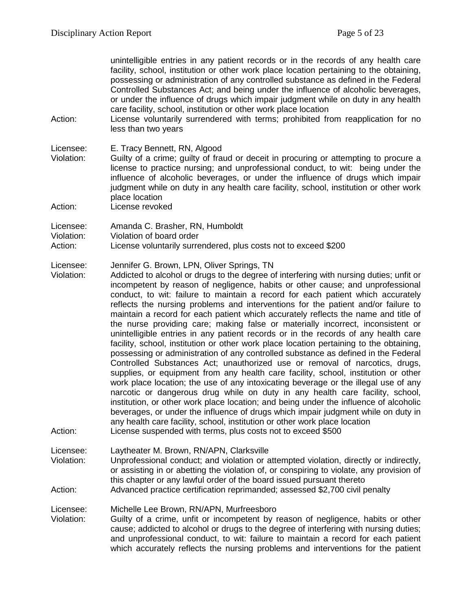unintelligible entries in any patient records or in the records of any health care facility, school, institution or other work place location pertaining to the obtaining, possessing or administration of any controlled substance as defined in the Federal Controlled Substances Act; and being under the influence of alcoholic beverages, or under the influence of drugs which impair judgment while on duty in any health care facility, school, institution or other work place location

Action: License voluntarily surrendered with terms; prohibited from reapplication for no less than two years

Licensee: E. Tracy Bennett, RN, Algood<br>Violation: Guilty of a crime: quilty of fra

- Guilty of a crime; guilty of fraud or deceit in procuring or attempting to procure a license to practice nursing; and unprofessional conduct, to wit: being under the influence of alcoholic beverages, or under the influence of drugs which impair judgment while on duty in any health care facility, school, institution or other work place location
- Action: License revoked

Licensee: Amanda C. Brasher, RN, Humboldt

- Violation: Violation of board order
- Action: License voluntarily surrendered, plus costs not to exceed \$200

Licensee: Jennifer G. Brown, LPN, Oliver Springs, TN

Violation: Addicted to alcohol or drugs to the degree of interfering with nursing duties; unfit or incompetent by reason of negligence, habits or other cause; and unprofessional conduct, to wit: failure to maintain a record for each patient which accurately reflects the nursing problems and interventions for the patient and/or failure to maintain a record for each patient which accurately reflects the name and title of the nurse providing care; making false or materially incorrect, inconsistent or unintelligible entries in any patient records or in the records of any health care facility, school, institution or other work place location pertaining to the obtaining, possessing or administration of any controlled substance as defined in the Federal Controlled Substances Act; unauthorized use or removal of narcotics, drugs, supplies, or equipment from any health care facility, school, institution or other work place location; the use of any intoxicating beverage or the illegal use of any narcotic or dangerous drug while on duty in any health care facility, school, institution, or other work place location; and being under the influence of alcoholic beverages, or under the influence of drugs which impair judgment while on duty in any health care facility, school, institution or other work place location Action: License suspended with terms, plus costs not to exceed \$500

Licensee: Laytheater M. Brown, RN/APN, Clarksville Violation: Unprofessional conduct; and violation or attempted violation, directly or indirectly, or assisting in or abetting the violation of, or conspiring to violate, any provision of this chapter or any lawful order of the board issued pursuant thereto

Action: Advanced practice certification reprimanded; assessed \$2,700 civil penalty

Licensee: Michelle Lee Brown, RN/APN, Murfreesboro<br>Violation: Guilty of a crime, unfit or incompetent by r Guilty of a crime, unfit or incompetent by reason of negligence, habits or other cause; addicted to alcohol or drugs to the degree of interfering with nursing duties; and unprofessional conduct, to wit: failure to maintain a record for each patient which accurately reflects the nursing problems and interventions for the patient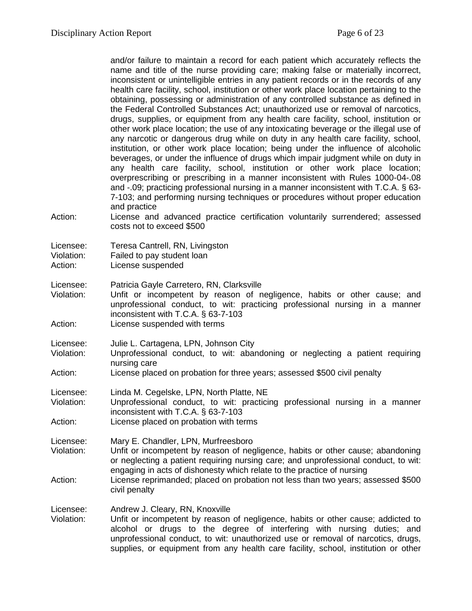and/or failure to maintain a record for each patient which accurately reflects the name and title of the nurse providing care; making false or materially incorrect, inconsistent or unintelligible entries in any patient records or in the records of any health care facility, school, institution or other work place location pertaining to the obtaining, possessing or administration of any controlled substance as defined in the Federal Controlled Substances Act; unauthorized use or removal of narcotics, drugs, supplies, or equipment from any health care facility, school, institution or other work place location; the use of any intoxicating beverage or the illegal use of any narcotic or dangerous drug while on duty in any health care facility, school, institution, or other work place location; being under the influence of alcoholic beverages, or under the influence of drugs which impair judgment while on duty in any health care facility, school, institution or other work place location; overprescribing or prescribing in a manner inconsistent with Rules 1000-04-.08 and -.09; practicing professional nursing in a manner inconsistent with T.C.A. § 63- 7-103; and performing nursing techniques or procedures without proper education and practice

Action: License and advanced practice certification voluntarily surrendered; assessed costs not to exceed \$500

Licensee: Teresa Cantrell, RN, Livingston

Violation: Failed to pay student loan

Action: License suspended

Licensee: Patricia Gayle Carretero, RN, Clarksville<br>Violation: Unfit or incompetent by reason of n

- Unfit or incompetent by reason of negligence, habits or other cause; and unprofessional conduct, to wit: practicing professional nursing in a manner inconsistent with T.C.A. § 63-7-103
- Action: License suspended with terms
- Licensee: Julie L. Cartagena, LPN, Johnson City
- Violation: Unprofessional conduct, to wit: abandoning or neglecting a patient requiring nursing care
- Action: License placed on probation for three years; assessed \$500 civil penalty

Licensee: Linda M. Cegelske, LPN, North Platte, NE

Violation: Unprofessional conduct, to wit: practicing professional nursing in a manner inconsistent with T.C.A. § 63-7-103

Action: License placed on probation with terms

Licensee: Mary E. Chandler, LPN, Murfreesboro

- Violation: Unfit or incompetent by reason of negligence, habits or other cause; abandoning or neglecting a patient requiring nursing care; and unprofessional conduct, to wit: engaging in acts of dishonesty which relate to the practice of nursing
- Action: License reprimanded; placed on probation not less than two years; assessed \$500 civil penalty

Licensee: Andrew J. Cleary, RN, Knoxville<br>Violation: Unfit or incompetent by reason

Unfit or incompetent by reason of negligence, habits or other cause; addicted to alcohol or drugs to the degree of interfering with nursing duties; and unprofessional conduct, to wit: unauthorized use or removal of narcotics, drugs, supplies, or equipment from any health care facility, school, institution or other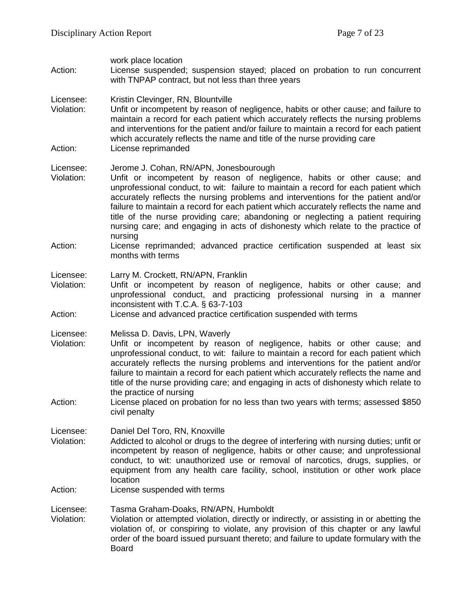| Action:                            | work place location<br>License suspended; suspension stayed; placed on probation to run concurrent<br>with TNPAP contract, but not less than three years                                                                                                                                                                                                                                                                                                                                                                                                                                                 |
|------------------------------------|----------------------------------------------------------------------------------------------------------------------------------------------------------------------------------------------------------------------------------------------------------------------------------------------------------------------------------------------------------------------------------------------------------------------------------------------------------------------------------------------------------------------------------------------------------------------------------------------------------|
| Licensee:<br>Violation:            | Kristin Clevinger, RN, Blountville<br>Unfit or incompetent by reason of negligence, habits or other cause; and failure to<br>maintain a record for each patient which accurately reflects the nursing problems<br>and interventions for the patient and/or failure to maintain a record for each patient<br>which accurately reflects the name and title of the nurse providing care                                                                                                                                                                                                                     |
| Action:                            | License reprimanded                                                                                                                                                                                                                                                                                                                                                                                                                                                                                                                                                                                      |
| Licensee:<br>Violation:            | Jerome J. Cohan, RN/APN, Jonesbourough<br>Unfit or incompetent by reason of negligence, habits or other cause; and<br>unprofessional conduct, to wit: failure to maintain a record for each patient which<br>accurately reflects the nursing problems and interventions for the patient and/or<br>failure to maintain a record for each patient which accurately reflects the name and<br>title of the nurse providing care; abandoning or neglecting a patient requiring<br>nursing care; and engaging in acts of dishonesty which relate to the practice of<br>nursing                                 |
| Action:                            | License reprimanded; advanced practice certification suspended at least six<br>months with terms                                                                                                                                                                                                                                                                                                                                                                                                                                                                                                         |
| Licensee:<br>Violation:            | Larry M. Crockett, RN/APN, Franklin<br>Unfit or incompetent by reason of negligence, habits or other cause; and<br>unprofessional conduct, and practicing professional nursing in a manner<br>inconsistent with T.C.A. § 63-7-103                                                                                                                                                                                                                                                                                                                                                                        |
| Action:                            | License and advanced practice certification suspended with terms                                                                                                                                                                                                                                                                                                                                                                                                                                                                                                                                         |
| Licensee:<br>Violation:<br>Action: | Melissa D. Davis, LPN, Waverly<br>Unfit or incompetent by reason of negligence, habits or other cause; and<br>unprofessional conduct, to wit: failure to maintain a record for each patient which<br>accurately reflects the nursing problems and interventions for the patient and/or<br>failure to maintain a record for each patient which accurately reflects the name and<br>title of the nurse providing care; and engaging in acts of dishonesty which relate to<br>the practice of nursing<br>License placed on probation for no less than two years with terms; assessed \$850<br>civil penalty |
|                                    |                                                                                                                                                                                                                                                                                                                                                                                                                                                                                                                                                                                                          |
| Licensee:<br>Violation:            | Daniel Del Toro, RN, Knoxville<br>Addicted to alcohol or drugs to the degree of interfering with nursing duties; unfit or<br>incompetent by reason of negligence, habits or other cause; and unprofessional<br>conduct, to wit: unauthorized use or removal of narcotics, drugs, supplies, or<br>equipment from any health care facility, school, institution or other work place<br>location                                                                                                                                                                                                            |
| Action:                            | License suspended with terms                                                                                                                                                                                                                                                                                                                                                                                                                                                                                                                                                                             |
| Licensee:<br>Violation:            | Tasma Graham-Doaks, RN/APN, Humboldt<br>Violation or attempted violation, directly or indirectly, or assisting in or abetting the<br>violation of, or conspiring to violate, any provision of this chapter or any lawful<br>order of the board issued pursuant thereto; and failure to update formulary with the<br><b>Board</b>                                                                                                                                                                                                                                                                         |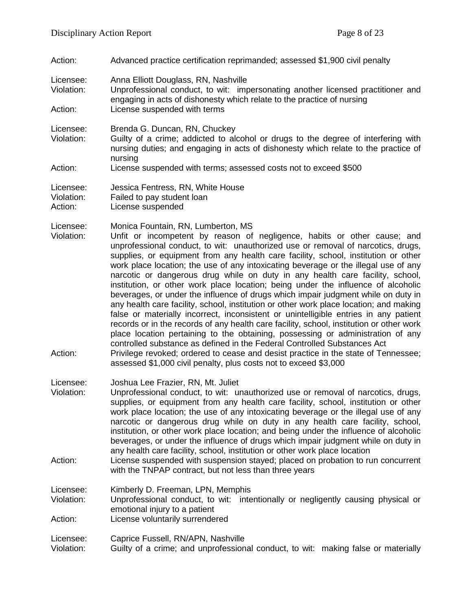Action: Advanced practice certification reprimanded; assessed \$1,900 civil penalty

Licensee: Anna Elliott Douglass, RN, Nashville<br>Violation: Unprofessional conduct. to wit: imp

Unprofessional conduct, to wit: impersonating another licensed practitioner and engaging in acts of dishonesty which relate to the practice of nursing Action: License suspended with terms

Licensee: Brenda G. Duncan, RN, Chuckey

- Violation: Guilty of a crime; addicted to alcohol or drugs to the degree of interfering with nursing duties; and engaging in acts of dishonesty which relate to the practice of nursing
- Action: License suspended with terms; assessed costs not to exceed \$500

| Licensee:  | Jessica Fentress, RN, White House |
|------------|-----------------------------------|
| Violation: | Failed to pay student loan        |
| Action:    | License suspended                 |

Licensee: Monica Fountain, RN, Lumberton, MS

- Violation: Unfit or incompetent by reason of negligence, habits or other cause; and unprofessional conduct, to wit: unauthorized use or removal of narcotics, drugs, supplies, or equipment from any health care facility, school, institution or other work place location; the use of any intoxicating beverage or the illegal use of any narcotic or dangerous drug while on duty in any health care facility, school, institution, or other work place location; being under the influence of alcoholic beverages, or under the influence of drugs which impair judgment while on duty in any health care facility, school, institution or other work place location; and making false or materially incorrect, inconsistent or unintelligible entries in any patient records or in the records of any health care facility, school, institution or other work place location pertaining to the obtaining, possessing or administration of any controlled substance as defined in the Federal Controlled Substances Act
- Action: Privilege revoked; ordered to cease and desist practice in the state of Tennessee; assessed \$1,000 civil penalty, plus costs not to exceed \$3,000
- Licensee: Joshua Lee Frazier, RN, Mt. Juliet
- Violation: Unprofessional conduct, to wit: unauthorized use or removal of narcotics, drugs, supplies, or equipment from any health care facility, school, institution or other work place location; the use of any intoxicating beverage or the illegal use of any narcotic or dangerous drug while on duty in any health care facility, school, institution, or other work place location; and being under the influence of alcoholic beverages, or under the influence of drugs which impair judgment while on duty in any health care facility, school, institution or other work place location
- Action: License suspended with suspension stayed; placed on probation to run concurrent with the TNPAP contract, but not less than three years

Licensee: Kimberly D. Freeman, LPN, Memphis

- Violation: Unprofessional conduct, to wit: intentionally or negligently causing physical or emotional injury to a patient
- Action: License voluntarily surrendered
- Licensee: Caprice Fussell, RN/APN, Nashville
- Violation: Guilty of a crime; and unprofessional conduct, to wit: making false or materially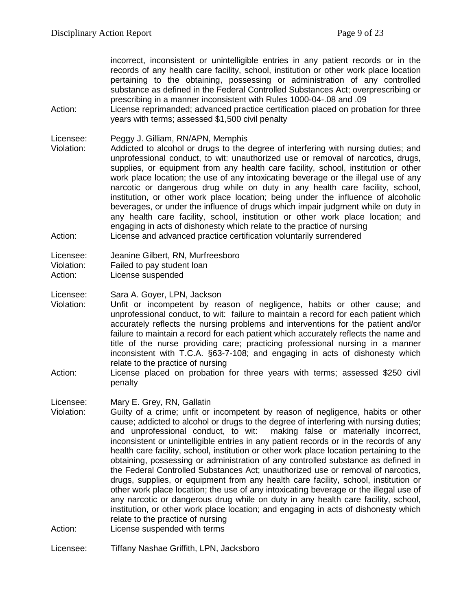incorrect, inconsistent or unintelligible entries in any patient records or in the records of any health care facility, school, institution or other work place location pertaining to the obtaining, possessing or administration of any controlled substance as defined in the Federal Controlled Substances Act; overprescribing or prescribing in a manner inconsistent with Rules 1000-04-.08 and .09

- Action: License reprimanded; advanced practice certification placed on probation for three years with terms; assessed \$1,500 civil penalty
- Licensee: Peggy J. Gilliam, RN/APN, Memphis<br>Violation: Addicted to alcohol or drugs to the
- Addicted to alcohol or drugs to the degree of interfering with nursing duties; and unprofessional conduct, to wit: unauthorized use or removal of narcotics, drugs, supplies, or equipment from any health care facility, school, institution or other work place location; the use of any intoxicating beverage or the illegal use of any narcotic or dangerous drug while on duty in any health care facility, school, institution, or other work place location; being under the influence of alcoholic beverages, or under the influence of drugs which impair judgment while on duty in any health care facility, school, institution or other work place location; and engaging in acts of dishonesty which relate to the practice of nursing Action: License and advanced practice certification voluntarily surrendered
- Licensee: Jeanine Gilbert, RN, Murfreesboro
- Violation: Failed to pay student loan
- Action: License suspended
- Licensee: Sara A. Goyer, LPN, Jackson
- Violation: Unfit or incompetent by reason of negligence, habits or other cause; and unprofessional conduct, to wit: failure to maintain a record for each patient which accurately reflects the nursing problems and interventions for the patient and/or failure to maintain a record for each patient which accurately reflects the name and title of the nurse providing care; practicing professional nursing in a manner inconsistent with T.C.A. §63-7-108; and engaging in acts of dishonesty which relate to the practice of nursing
- Action: License placed on probation for three years with terms; assessed \$250 civil penalty
- Licensee: Mary E. Grey, RN, Gallatin
- Violation: Guilty of a crime; unfit or incompetent by reason of negligence, habits or other cause; addicted to alcohol or drugs to the degree of interfering with nursing duties;<br>and unprofessional conduct, to wit: making false or materially incorrect, making false or materially incorrect, inconsistent or unintelligible entries in any patient records or in the records of any health care facility, school, institution or other work place location pertaining to the obtaining, possessing or administration of any controlled substance as defined in the Federal Controlled Substances Act; unauthorized use or removal of narcotics, drugs, supplies, or equipment from any health care facility, school, institution or other work place location; the use of any intoxicating beverage or the illegal use of any narcotic or dangerous drug while on duty in any health care facility, school, institution, or other work place location; and engaging in acts of dishonesty which relate to the practice of nursing
- Action: License suspended with terms
- Licensee: Tiffany Nashae Griffith, LPN, Jacksboro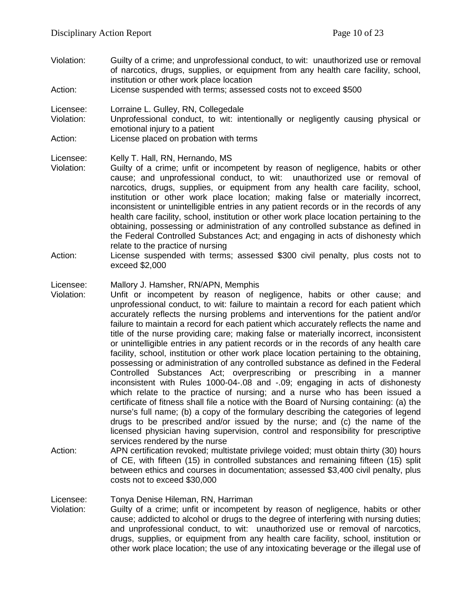- Violation: Guilty of a crime; and unprofessional conduct, to wit: unauthorized use or removal of narcotics, drugs, supplies, or equipment from any health care facility, school, institution or other work place location
- Action: License suspended with terms; assessed costs not to exceed \$500

Licensee: Lorraine L. Gulley, RN, Collegedale

Violation: Unprofessional conduct, to wit: intentionally or negligently causing physical or emotional injury to a patient

Action: License placed on probation with terms

Licensee: Kelly T. Hall, RN, Hernando, MS

- Violation: Guilty of a crime; unfit or incompetent by reason of negligence, habits or other cause; and unprofessional conduct, to wit: unauthorized use or removal of narcotics, drugs, supplies, or equipment from any health care facility, school, institution or other work place location; making false or materially incorrect, inconsistent or unintelligible entries in any patient records or in the records of any health care facility, school, institution or other work place location pertaining to the obtaining, possessing or administration of any controlled substance as defined in the Federal Controlled Substances Act; and engaging in acts of dishonesty which relate to the practice of nursing
- Action: License suspended with terms; assessed \$300 civil penalty, plus costs not to exceed \$2,000

# Licensee: Mallory J. Hamsher, RN/APN, Memphis<br>Violation: Unfit or incompetent by reason of r

- Unfit or incompetent by reason of negligence, habits or other cause; and unprofessional conduct, to wit: failure to maintain a record for each patient which accurately reflects the nursing problems and interventions for the patient and/or failure to maintain a record for each patient which accurately reflects the name and title of the nurse providing care; making false or materially incorrect, inconsistent or unintelligible entries in any patient records or in the records of any health care facility, school, institution or other work place location pertaining to the obtaining, possessing or administration of any controlled substance as defined in the Federal Controlled Substances Act; overprescribing or prescribing in a manner inconsistent with Rules 1000-04-.08 and -.09; engaging in acts of dishonesty which relate to the practice of nursing; and a nurse who has been issued a certificate of fitness shall file a notice with the Board of Nursing containing: (a) the nurse's full name; (b) a copy of the formulary describing the categories of legend drugs to be prescribed and/or issued by the nurse; and (c) the name of the licensed physician having supervision, control and responsibility for prescriptive services rendered by the nurse
- Action: APN certification revoked; multistate privilege voided; must obtain thirty (30) hours of CE, with fifteen (15) in controlled substances and remaining fifteen (15) split between ethics and courses in documentation; assessed \$3,400 civil penalty, plus costs not to exceed \$30,000

Licensee: Tonya Denise Hileman, RN, Harriman<br>Violation: Guilty of a crime: unfit or incompeter

Guilty of a crime; unfit or incompetent by reason of negligence, habits or other cause; addicted to alcohol or drugs to the degree of interfering with nursing duties; and unprofessional conduct, to wit: unauthorized use or removal of narcotics, drugs, supplies, or equipment from any health care facility, school, institution or other work place location; the use of any intoxicating beverage or the illegal use of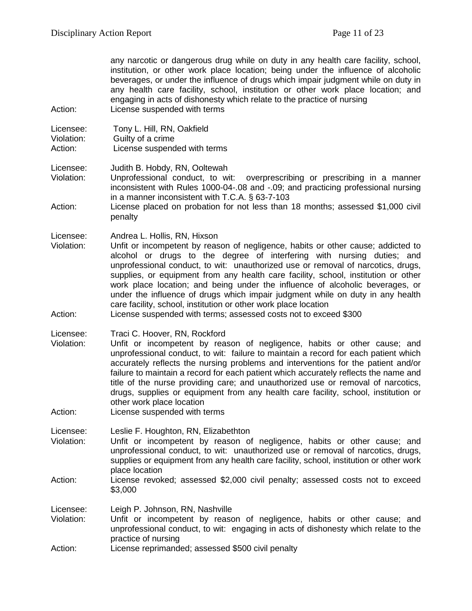any narcotic or dangerous drug while on duty in any health care facility, school, institution, or other work place location; being under the influence of alcoholic beverages, or under the influence of drugs which impair judgment while on duty in any health care facility, school, institution or other work place location; and engaging in acts of dishonesty which relate to the practice of nursing

Action: License suspended with terms

| Licensee:        | Tony L. Hill, RN, Oakfield   |
|------------------|------------------------------|
| Violation:       | Guilty of a crime            |
| $\Lambda$ otion: | License suspended with terms |

Action: License suspended with terms

Licensee: Judith B. Hobdy, RN, Ooltewah

Violation: Unprofessional conduct, to wit: overprescribing or prescribing in a manner inconsistent with Rules 1000-04-.08 and -.09; and practicing professional nursing in a manner inconsistent with T.C.A. § 63-7-103

Action: License placed on probation for not less than 18 months; assessed \$1,000 civil penalty

Licensee: Andrea L. Hollis, RN, Hixson

Violation: Unfit or incompetent by reason of negligence, habits or other cause; addicted to alcohol or drugs to the degree of interfering with nursing duties; and unprofessional conduct, to wit: unauthorized use or removal of narcotics, drugs, supplies, or equipment from any health care facility, school, institution or other work place location; and being under the influence of alcoholic beverages, or under the influence of drugs which impair judgment while on duty in any health care facility, school, institution or other work place location

Action: License suspended with terms; assessed costs not to exceed \$300

Licensee: Traci C. Hoover, RN, Rockford

- Violation: Unfit or incompetent by reason of negligence, habits or other cause; and unprofessional conduct, to wit: failure to maintain a record for each patient which accurately reflects the nursing problems and interventions for the patient and/or failure to maintain a record for each patient which accurately reflects the name and title of the nurse providing care; and unauthorized use or removal of narcotics, drugs, supplies or equipment from any health care facility, school, institution or other work place location
- Action: License suspended with terms

Licensee: Leslie F. Houghton, RN, Elizabethton

- Violation: Unfit or incompetent by reason of negligence, habits or other cause; and unprofessional conduct, to wit: unauthorized use or removal of narcotics, drugs, supplies or equipment from any health care facility, school, institution or other work place location
- Action: License revoked; assessed \$2,000 civil penalty; assessed costs not to exceed \$3,000

Licensee: Leigh P. Johnson, RN, Nashville<br>Violation: Unfit or incompetent by reasc

- Unfit or incompetent by reason of negligence, habits or other cause; and unprofessional conduct, to wit: engaging in acts of dishonesty which relate to the practice of nursing
- Action: License reprimanded; assessed \$500 civil penalty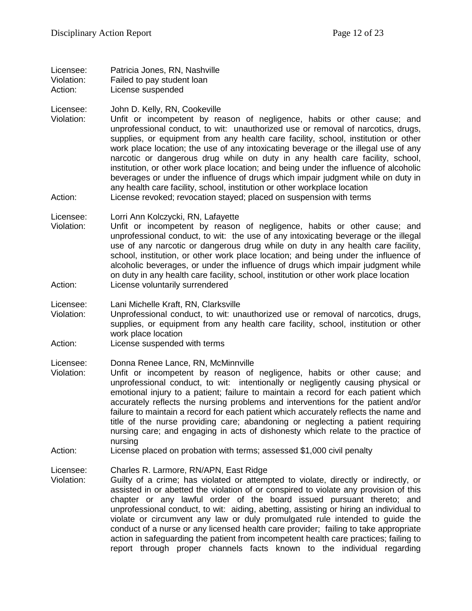Licensee: Patricia Jones, RN, Nashville Violation: Failed to pay student loan Action: License suspended

Licensee: John D. Kelly, RN, Cookeville

Violation: Unfit or incompetent by reason of negligence, habits or other cause; and unprofessional conduct, to wit: unauthorized use or removal of narcotics, drugs, supplies, or equipment from any health care facility, school, institution or other work place location; the use of any intoxicating beverage or the illegal use of any narcotic or dangerous drug while on duty in any health care facility, school, institution, or other work place location; and being under the influence of alcoholic beverages or under the influence of drugs which impair judgment while on duty in any health care facility, school, institution or other workplace location Action: License revoked; revocation stayed; placed on suspension with terms

Licensee: Lorri Ann Kolczycki, RN, Lafayette

Violation: Unfit or incompetent by reason of negligence, habits or other cause; and unprofessional conduct, to wit: the use of any intoxicating beverage or the illegal use of any narcotic or dangerous drug while on duty in any health care facility, school, institution, or other work place location; and being under the influence of alcoholic beverages, or under the influence of drugs which impair judgment while on duty in any health care facility, school, institution or other work place location Action: License voluntarily surrendered

Licensee: Lani Michelle Kraft, RN, Clarksville

- Violation: Unprofessional conduct, to wit: unauthorized use or removal of narcotics, drugs, supplies, or equipment from any health care facility, school, institution or other work place location
- Action: License suspended with terms

Licensee: Donna Renee Lance, RN, McMinnville<br>Violation: Unfit or incompetent by reason of

- Unfit or incompetent by reason of negligence, habits or other cause; and unprofessional conduct, to wit: intentionally or negligently causing physical or emotional injury to a patient; failure to maintain a record for each patient which accurately reflects the nursing problems and interventions for the patient and/or failure to maintain a record for each patient which accurately reflects the name and title of the nurse providing care; abandoning or neglecting a patient requiring nursing care; and engaging in acts of dishonesty which relate to the practice of nursing
- Action: License placed on probation with terms; assessed \$1,000 civil penalty

Licensee: Charles R. Larmore, RN/APN, East Ridge

Violation: Guilty of a crime; has violated or attempted to violate, directly or indirectly, or assisted in or abetted the violation of or conspired to violate any provision of this chapter or any lawful order of the board issued pursuant thereto; and unprofessional conduct, to wit: aiding, abetting, assisting or hiring an individual to violate or circumvent any law or duly promulgated rule intended to guide the conduct of a nurse or any licensed health care provider; failing to take appropriate action in safeguarding the patient from incompetent health care practices; failing to report through proper channels facts known to the individual regarding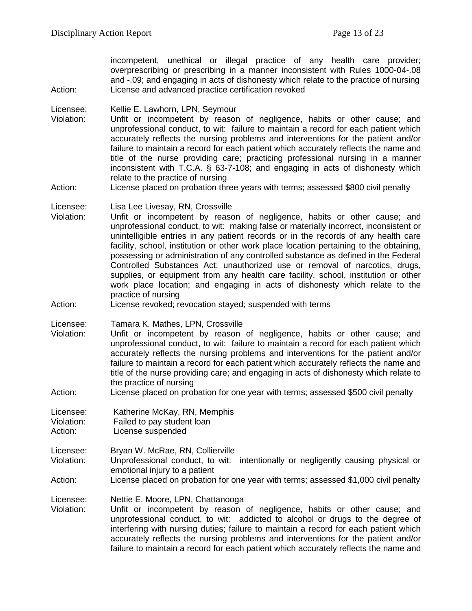incompetent, unethical or illegal practice of any health care provider; overprescribing or prescribing in a manner inconsistent with Rules 1000-04-.08 and -.09; and engaging in acts of dishonesty which relate to the practice of nursing Action: License and advanced practice certification revoked

Licensee: Kellie E. Lawhorn, LPN, Seymour

Violation: Unfit or incompetent by reason of negligence, habits or other cause; and unprofessional conduct, to wit: failure to maintain a record for each patient which accurately reflects the nursing problems and interventions for the patient and/or failure to maintain a record for each patient which accurately reflects the name and title of the nurse providing care; practicing professional nursing in a manner inconsistent with T.C.A. § 63-7-108; and engaging in acts of dishonesty which relate to the practice of nursing

Action: License placed on probation three years with terms; assessed \$800 civil penalty

Licensee: Lisa Lee Livesay, RN, Crossville

- Violation: Unfit or incompetent by reason of negligence, habits or other cause; and unprofessional conduct, to wit: making false or materially incorrect, inconsistent or unintelligible entries in any patient records or in the records of any health care facility, school, institution or other work place location pertaining to the obtaining, possessing or administration of any controlled substance as defined in the Federal Controlled Substances Act; unauthorized use or removal of narcotics, drugs, supplies, or equipment from any health care facility, school, institution or other work place location; and engaging in acts of dishonesty which relate to the practice of nursing
- Action: License revoked; revocation stayed; suspended with terms

Licensee: Tamara K. Mathes, LPN, Crossville

- Violation: Unfit or incompetent by reason of negligence, habits or other cause; and unprofessional conduct, to wit: failure to maintain a record for each patient which accurately reflects the nursing problems and interventions for the patient and/or failure to maintain a record for each patient which accurately reflects the name and title of the nurse providing care; and engaging in acts of dishonesty which relate to the practice of nursing
- Action: License placed on probation for one year with terms; assessed \$500 civil penalty

Licensee: Katherine McKay, RN, Memphis

- Violation: Failed to pay student loan<br>Action: License suspended
- License suspended

Licensee: Bryan W. McRae, RN, Collierville

- Violation: Unprofessional conduct, to wit: intentionally or negligently causing physical or emotional injury to a patient
- Action: License placed on probation for one year with terms; assessed \$1,000 civil penalty

Licensee: Nettie E. Moore, LPN, Chattanooga<br>Violation: Unfit or incompetent by reason

Unfit or incompetent by reason of negligence, habits or other cause; and unprofessional conduct, to wit: addicted to alcohol or drugs to the degree of interfering with nursing duties; failure to maintain a record for each patient which accurately reflects the nursing problems and interventions for the patient and/or failure to maintain a record for each patient which accurately reflects the name and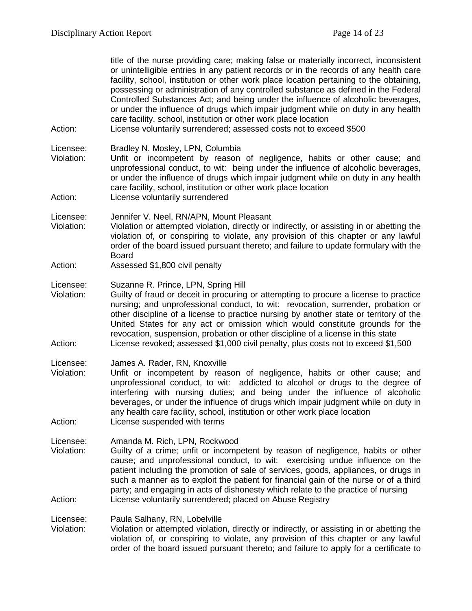| Action:                            | title of the nurse providing care; making false or materially incorrect, inconsistent<br>or unintelligible entries in any patient records or in the records of any health care<br>facility, school, institution or other work place location pertaining to the obtaining,<br>possessing or administration of any controlled substance as defined in the Federal<br>Controlled Substances Act; and being under the influence of alcoholic beverages,<br>or under the influence of drugs which impair judgment while on duty in any health<br>care facility, school, institution or other work place location<br>License voluntarily surrendered; assessed costs not to exceed \$500 |
|------------------------------------|------------------------------------------------------------------------------------------------------------------------------------------------------------------------------------------------------------------------------------------------------------------------------------------------------------------------------------------------------------------------------------------------------------------------------------------------------------------------------------------------------------------------------------------------------------------------------------------------------------------------------------------------------------------------------------|
| Licensee:<br>Violation:<br>Action: | Bradley N. Mosley, LPN, Columbia<br>Unfit or incompetent by reason of negligence, habits or other cause; and<br>unprofessional conduct, to wit: being under the influence of alcoholic beverages,<br>or under the influence of drugs which impair judgment while on duty in any health<br>care facility, school, institution or other work place location<br>License voluntarily surrendered                                                                                                                                                                                                                                                                                       |
| Licensee:<br>Violation:<br>Action: | Jennifer V. Neel, RN/APN, Mount Pleasant<br>Violation or attempted violation, directly or indirectly, or assisting in or abetting the<br>violation of, or conspiring to violate, any provision of this chapter or any lawful<br>order of the board issued pursuant thereto; and failure to update formulary with the<br><b>Board</b><br>Assessed \$1,800 civil penalty                                                                                                                                                                                                                                                                                                             |
| Licensee:<br>Violation:<br>Action: | Suzanne R. Prince, LPN, Spring Hill<br>Guilty of fraud or deceit in procuring or attempting to procure a license to practice<br>nursing; and unprofessional conduct, to wit: revocation, surrender, probation or<br>other discipline of a license to practice nursing by another state or territory of the<br>United States for any act or omission which would constitute grounds for the<br>revocation, suspension, probation or other discipline of a license in this state<br>License revoked; assessed \$1,000 civil penalty, plus costs not to exceed \$1,500                                                                                                                |
| Licensee:<br>Violation:<br>Action: | James A. Rader, RN, Knoxville<br>Unfit or incompetent by reason of negligence, habits or other cause; and<br>unprofessional conduct, to wit: addicted to alcohol or drugs to the degree of<br>interfering with nursing duties; and being under the influence of alcoholic<br>beverages, or under the influence of drugs which impair judgment while on duty in<br>any health care facility, school, institution or other work place location<br>License suspended with terms                                                                                                                                                                                                       |
| Licensee:<br>Violation:<br>Action: | Amanda M. Rich, LPN, Rockwood<br>Guilty of a crime; unfit or incompetent by reason of negligence, habits or other<br>cause; and unprofessional conduct, to wit: exercising undue influence on the<br>patient including the promotion of sale of services, goods, appliances, or drugs in<br>such a manner as to exploit the patient for financial gain of the nurse or of a third<br>party; and engaging in acts of dishonesty which relate to the practice of nursing<br>License voluntarily surrendered; placed on Abuse Registry                                                                                                                                                |
| Licensee:<br>Violation:            | Paula Salhany, RN, Lobelville<br>Violation or attempted violation, directly or indirectly, or assisting in or abetting the<br>violation of, or conspiring to violate, any provision of this chapter or any lawful<br>order of the board issued pursuant thereto; and failure to apply for a certificate to                                                                                                                                                                                                                                                                                                                                                                         |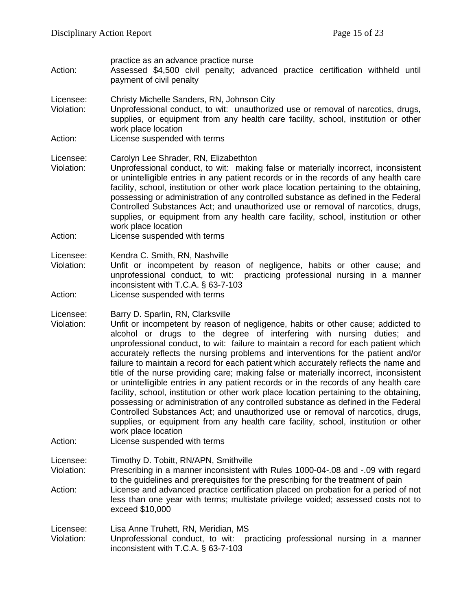| Action:                            | practice as an advance practice nurse<br>Assessed \$4,500 civil penalty; advanced practice certification withheld until<br>payment of civil penalty                                                                                                                                                                                                                                                                                                                                                                                                                                                                                                                                                                                                                                                                                                                                                                                                                                                                                                                    |
|------------------------------------|------------------------------------------------------------------------------------------------------------------------------------------------------------------------------------------------------------------------------------------------------------------------------------------------------------------------------------------------------------------------------------------------------------------------------------------------------------------------------------------------------------------------------------------------------------------------------------------------------------------------------------------------------------------------------------------------------------------------------------------------------------------------------------------------------------------------------------------------------------------------------------------------------------------------------------------------------------------------------------------------------------------------------------------------------------------------|
| Licensee:<br>Violation:<br>Action: | Christy Michelle Sanders, RN, Johnson City<br>Unprofessional conduct, to wit: unauthorized use or removal of narcotics, drugs,<br>supplies, or equipment from any health care facility, school, institution or other<br>work place location<br>License suspended with terms                                                                                                                                                                                                                                                                                                                                                                                                                                                                                                                                                                                                                                                                                                                                                                                            |
| Licensee:<br>Violation:<br>Action: | Carolyn Lee Shrader, RN, Elizabethton<br>Unprofessional conduct, to wit: making false or materially incorrect, inconsistent<br>or unintelligible entries in any patient records or in the records of any health care<br>facility, school, institution or other work place location pertaining to the obtaining,<br>possessing or administration of any controlled substance as defined in the Federal<br>Controlled Substances Act; and unauthorized use or removal of narcotics, drugs,<br>supplies, or equipment from any health care facility, school, institution or other<br>work place location<br>License suspended with terms                                                                                                                                                                                                                                                                                                                                                                                                                                  |
| Licensee:<br>Violation:<br>Action: | Kendra C. Smith, RN, Nashville<br>Unfit or incompetent by reason<br>of negligence, habits or other cause; and<br>unprofessional conduct, to wit:<br>practicing professional nursing in a manner<br>inconsistent with T.C.A. § 63-7-103<br>License suspended with terms                                                                                                                                                                                                                                                                                                                                                                                                                                                                                                                                                                                                                                                                                                                                                                                                 |
| Licensee:<br>Violation:<br>Action: | Barry D. Sparlin, RN, Clarksville<br>Unfit or incompetent by reason of negligence, habits or other cause; addicted to<br>alcohol or drugs to the degree of interfering with nursing duties; and<br>unprofessional conduct, to wit: failure to maintain a record for each patient which<br>accurately reflects the nursing problems and interventions for the patient and/or<br>failure to maintain a record for each patient which accurately reflects the name and<br>title of the nurse providing care; making false or materially incorrect, inconsistent<br>or unintelligible entries in any patient records or in the records of any health care<br>facility, school, institution or other work place location pertaining to the obtaining,<br>possessing or administration of any controlled substance as defined in the Federal<br>Controlled Substances Act; and unauthorized use or removal of narcotics, drugs,<br>supplies, or equipment from any health care facility, school, institution or other<br>work place location<br>License suspended with terms |
| Licensee:<br>Violation:<br>Action: | Timothy D. Tobitt, RN/APN, Smithville<br>Prescribing in a manner inconsistent with Rules 1000-04-.08 and -.09 with regard<br>to the guidelines and prerequisites for the prescribing for the treatment of pain<br>License and advanced practice certification placed on probation for a period of not<br>less than one year with terms; multistate privilege voided; assessed costs not to<br>exceed \$10,000                                                                                                                                                                                                                                                                                                                                                                                                                                                                                                                                                                                                                                                          |
| Licensee:<br>Violation:            | Lisa Anne Truhett, RN, Meridian, MS<br>Unprofessional conduct, to wit: practicing professional nursing in a manner<br>inconsistent with T.C.A. § 63-7-103                                                                                                                                                                                                                                                                                                                                                                                                                                                                                                                                                                                                                                                                                                                                                                                                                                                                                                              |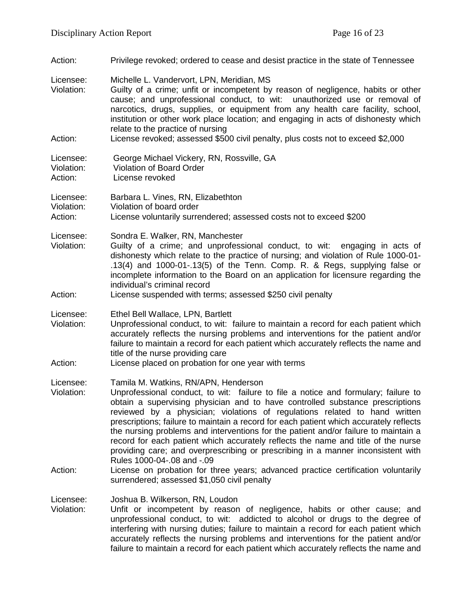Action: Privilege revoked; ordered to cease and desist practice in the state of Tennessee Licensee: Michelle L. Vandervort, LPN, Meridian, MS<br>Violation: Guilty of a crime: unfit or incompetent by Guilty of a crime; unfit or incompetent by reason of negligence, habits or other cause; and unprofessional conduct, to wit: unauthorized use or removal of narcotics, drugs, supplies, or equipment from any health care facility, school, institution or other work place location; and engaging in acts of dishonesty which relate to the practice of nursing Action: License revoked; assessed \$500 civil penalty, plus costs not to exceed \$2,000 Licensee: George Michael Vickery, RN, Rossville, GA Violation: Violation of Board Order Action: License revoked Licensee: Barbara L. Vines, RN, Elizabethton Violation: Violation of board order Action: License voluntarily surrendered; assessed costs not to exceed \$200 Licensee: Sondra E. Walker, RN, Manchester Violation: Guilty of a crime; and unprofessional conduct, to wit: engaging in acts of dishonesty which relate to the practice of nursing; and violation of Rule 1000-01- .13(4) and 1000-01-.13(5) of the Tenn. Comp. R. & Regs, supplying false or incomplete information to the Board on an application for licensure regarding the individual's criminal record Action: License suspended with terms; assessed \$250 civil penalty Licensee: Ethel Bell Wallace, LPN, Bartlett Violation: Unprofessional conduct, to wit: failure to maintain a record for each patient which accurately reflects the nursing problems and interventions for the patient and/or failure to maintain a record for each patient which accurately reflects the name and title of the nurse providing care Action: License placed on probation for one year with terms Licensee: Tamila M. Watkins, RN/APN, Henderson Violation: Unprofessional conduct, to wit: failure to file a notice and formulary; failure to obtain a supervising physician and to have controlled substance prescriptions reviewed by a physician; violations of regulations related to hand written prescriptions; failure to maintain a record for each patient which accurately reflects the nursing problems and interventions for the patient and/or failure to maintain a record for each patient which accurately reflects the name and title of the nurse providing care; and overprescribing or prescribing in a manner inconsistent with Rules 1000-04-.08 and -.09 Action: License on probation for three years; advanced practice certification voluntarily surrendered; assessed \$1,050 civil penalty Licensee: Joshua B. Wilkerson, RN, Loudon<br>Violation: Unfit or incompetent by reason Unfit or incompetent by reason of negligence, habits or other cause; and unprofessional conduct, to wit: addicted to alcohol or drugs to the degree of interfering with nursing duties; failure to maintain a record for each patient which accurately reflects the nursing problems and interventions for the patient and/or failure to maintain a record for each patient which accurately reflects the name and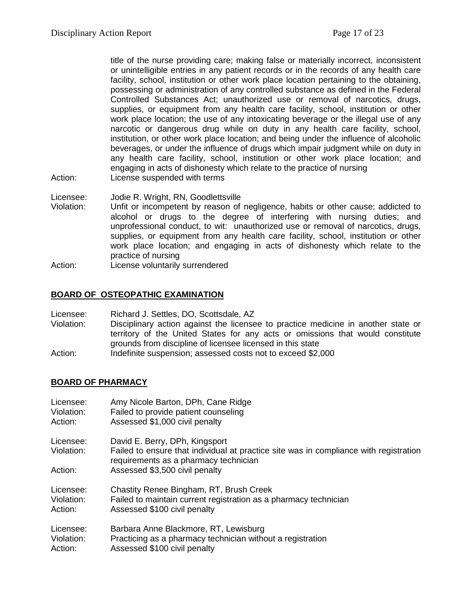title of the nurse providing care; making false or materially incorrect, inconsistent or unintelligible entries in any patient records or in the records of any health care facility, school, institution or other work place location pertaining to the obtaining, possessing or administration of any controlled substance as defined in the Federal Controlled Substances Act; unauthorized use or removal of narcotics, drugs, supplies, or equipment from any health care facility, school, institution or other work place location; the use of any intoxicating beverage or the illegal use of any narcotic or dangerous drug while on duty in any health care facility, school, institution, or other work place location; and being under the influence of alcoholic beverages, or under the influence of drugs which impair judgment while on duty in any health care facility, school, institution or other work place location; and engaging in acts of dishonesty which relate to the practice of nursing

- Action: License suspended with terms
- Licensee: Jodie R. Wright, RN, Goodlettsville
- Violation: Unfit or incompetent by reason of negligence, habits or other cause; addicted to alcohol or drugs to the degree of interfering with nursing duties; and unprofessional conduct, to wit: unauthorized use or removal of narcotics, drugs, supplies, or equipment from any health care facility, school, institution or other work place location; and engaging in acts of dishonesty which relate to the practice of nursing
- Action: License voluntarily surrendered

#### **BOARD OF OSTEOPATHIC EXAMINATION**

| Licensee:  | Richard J. Settles, DO, Scottsdale, AZ                                            |
|------------|-----------------------------------------------------------------------------------|
| Violation: | Disciplinary action against the licensee to practice medicine in another state or |
|            | territory of the United States for any acts or omissions that would constitute    |
|            | grounds from discipline of licensee licensed in this state                        |
| Action:    | Indefinite suspension; assessed costs not to exceed \$2,000                       |

#### **BOARD OF PHARMACY**

| Licensee:               | Amy Nicole Barton, DPh, Cane Ridge                                                                                                                               |
|-------------------------|------------------------------------------------------------------------------------------------------------------------------------------------------------------|
| Violation:              | Failed to provide patient counseling                                                                                                                             |
| Action:                 | Assessed \$1,000 civil penalty                                                                                                                                   |
| Licensee:<br>Violation: | David E. Berry, DPh, Kingsport<br>Failed to ensure that individual at practice site was in compliance with registration<br>requirements as a pharmacy technician |
| Action:                 | Assessed \$3,500 civil penalty                                                                                                                                   |
| Licensee:               | Chastity Renee Bingham, RT, Brush Creek                                                                                                                          |
| Violation:              | Failed to maintain current registration as a pharmacy technician                                                                                                 |
| Action:                 | Assessed \$100 civil penalty                                                                                                                                     |
| Licensee:               | Barbara Anne Blackmore, RT, Lewisburg                                                                                                                            |
| Violation:              | Practicing as a pharmacy technician without a registration                                                                                                       |
| Action:                 | Assessed \$100 civil penalty                                                                                                                                     |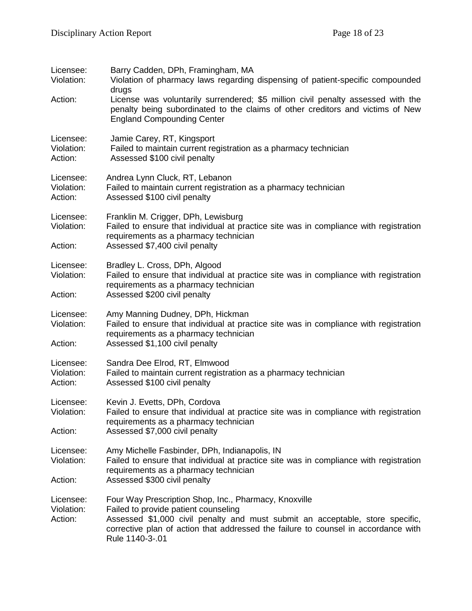| Licensee:<br>Violation:<br>Action: | Barry Cadden, DPh, Framingham, MA<br>Violation of pharmacy laws regarding dispensing of patient-specific compounded<br>drugs<br>License was voluntarily surrendered; \$5 million civil penalty assessed with the<br>penalty being subordinated to the claims of other creditors and victims of New<br><b>England Compounding Center</b> |
|------------------------------------|-----------------------------------------------------------------------------------------------------------------------------------------------------------------------------------------------------------------------------------------------------------------------------------------------------------------------------------------|
| Licensee:<br>Violation:<br>Action: | Jamie Carey, RT, Kingsport<br>Failed to maintain current registration as a pharmacy technician<br>Assessed \$100 civil penalty                                                                                                                                                                                                          |
| Licensee:<br>Violation:<br>Action: | Andrea Lynn Cluck, RT, Lebanon<br>Failed to maintain current registration as a pharmacy technician<br>Assessed \$100 civil penalty                                                                                                                                                                                                      |
| Licensee:<br>Violation:<br>Action: | Franklin M. Crigger, DPh, Lewisburg<br>Failed to ensure that individual at practice site was in compliance with registration<br>requirements as a pharmacy technician<br>Assessed \$7,400 civil penalty                                                                                                                                 |
| Licensee:<br>Violation:<br>Action: | Bradley L. Cross, DPh, Algood<br>Failed to ensure that individual at practice site was in compliance with registration<br>requirements as a pharmacy technician<br>Assessed \$200 civil penalty                                                                                                                                         |
| Licensee:<br>Violation:<br>Action: | Amy Manning Dudney, DPh, Hickman<br>Failed to ensure that individual at practice site was in compliance with registration<br>requirements as a pharmacy technician<br>Assessed \$1,100 civil penalty                                                                                                                                    |
| Licensee:<br>Violation:<br>Action: | Sandra Dee Elrod, RT, Elmwood<br>Failed to maintain current registration as a pharmacy technician<br>Assessed \$100 civil penalty                                                                                                                                                                                                       |
| Licensee:<br>Violation:<br>Action: | Kevin J. Evetts, DPh, Cordova<br>Failed to ensure that individual at practice site was in compliance with registration<br>requirements as a pharmacy technician<br>Assessed \$7,000 civil penalty                                                                                                                                       |
| Licensee:<br>Violation:<br>Action: | Amy Michelle Fasbinder, DPh, Indianapolis, IN<br>Failed to ensure that individual at practice site was in compliance with registration<br>requirements as a pharmacy technician<br>Assessed \$300 civil penalty                                                                                                                         |
| Licensee:<br>Violation:<br>Action: | Four Way Prescription Shop, Inc., Pharmacy, Knoxville<br>Failed to provide patient counseling<br>Assessed \$1,000 civil penalty and must submit an acceptable, store specific,<br>corrective plan of action that addressed the failure to counsel in accordance with<br>Rule 1140-3-.01                                                 |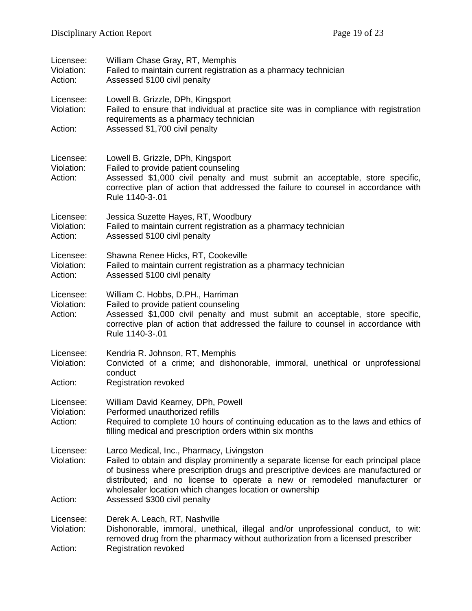| Licensee:<br>Violation:<br>Action: | William Chase Gray, RT, Memphis<br>Failed to maintain current registration as a pharmacy technician<br>Assessed \$100 civil penalty                                                                                                                                                                                                                            |
|------------------------------------|----------------------------------------------------------------------------------------------------------------------------------------------------------------------------------------------------------------------------------------------------------------------------------------------------------------------------------------------------------------|
| Licensee:<br>Violation:            | Lowell B. Grizzle, DPh, Kingsport<br>Failed to ensure that individual at practice site was in compliance with registration<br>requirements as a pharmacy technician                                                                                                                                                                                            |
| Action:                            | Assessed \$1,700 civil penalty                                                                                                                                                                                                                                                                                                                                 |
| Licensee:<br>Violation:<br>Action: | Lowell B. Grizzle, DPh, Kingsport<br>Failed to provide patient counseling<br>Assessed \$1,000 civil penalty and must submit an acceptable, store specific,<br>corrective plan of action that addressed the failure to counsel in accordance with<br>Rule 1140-3-.01                                                                                            |
| Licensee:<br>Violation:<br>Action: | Jessica Suzette Hayes, RT, Woodbury<br>Failed to maintain current registration as a pharmacy technician<br>Assessed \$100 civil penalty                                                                                                                                                                                                                        |
| Licensee:<br>Violation:<br>Action: | Shawna Renee Hicks, RT, Cookeville<br>Failed to maintain current registration as a pharmacy technician<br>Assessed \$100 civil penalty                                                                                                                                                                                                                         |
| Licensee:<br>Violation:<br>Action: | William C. Hobbs, D.PH., Harriman<br>Failed to provide patient counseling<br>Assessed \$1,000 civil penalty and must submit an acceptable, store specific,<br>corrective plan of action that addressed the failure to counsel in accordance with<br>Rule 1140-3-.01                                                                                            |
| Licensee:<br>Violation:            | Kendria R. Johnson, RT, Memphis<br>Convicted of a crime; and dishonorable, immoral, unethical or unprofessional<br>conduct                                                                                                                                                                                                                                     |
| Action:                            | <b>Registration revoked</b>                                                                                                                                                                                                                                                                                                                                    |
| Licensee:<br>Violation:<br>Action: | William David Kearney, DPh, Powell<br>Performed unauthorized refills<br>Required to complete 10 hours of continuing education as to the laws and ethics of<br>filling medical and prescription orders within six months                                                                                                                                        |
| Licensee:<br>Violation:            | Larco Medical, Inc., Pharmacy, Livingston<br>Failed to obtain and display prominently a separate license for each principal place<br>of business where prescription drugs and prescriptive devices are manufactured or<br>distributed; and no license to operate a new or remodeled manufacturer or<br>wholesaler location which changes location or ownership |
| Action:                            | Assessed \$300 civil penalty                                                                                                                                                                                                                                                                                                                                   |
| Licensee:<br>Violation:            | Derek A. Leach, RT, Nashville<br>Dishonorable, immoral, unethical, illegal and/or unprofessional conduct, to wit:<br>removed drug from the pharmacy without authorization from a licensed prescriber                                                                                                                                                           |
| Action:                            | Registration revoked                                                                                                                                                                                                                                                                                                                                           |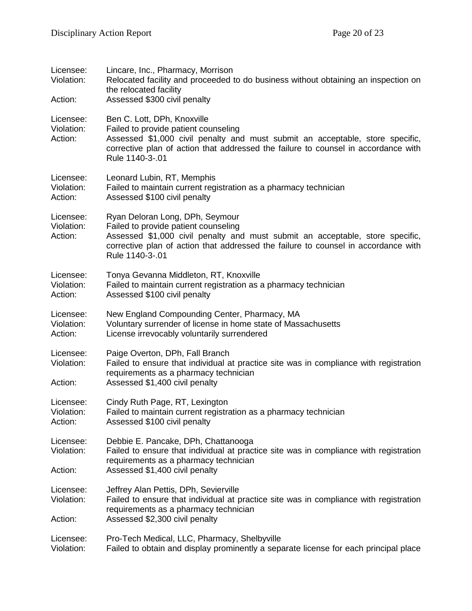| Licensee:<br>Violation:<br>Action: | Lincare, Inc., Pharmacy, Morrison<br>Relocated facility and proceeded to do business without obtaining an inspection on<br>the relocated facility<br>Assessed \$300 civil penalty                                                                                 |  |
|------------------------------------|-------------------------------------------------------------------------------------------------------------------------------------------------------------------------------------------------------------------------------------------------------------------|--|
| Licensee:<br>Violation:<br>Action: | Ben C. Lott, DPh, Knoxville<br>Failed to provide patient counseling<br>Assessed \$1,000 civil penalty and must submit an acceptable, store specific,<br>corrective plan of action that addressed the failure to counsel in accordance with<br>Rule 1140-3-.01     |  |
| Licensee:<br>Violation:<br>Action: | Leonard Lubin, RT, Memphis<br>Failed to maintain current registration as a pharmacy technician<br>Assessed \$100 civil penalty                                                                                                                                    |  |
| Licensee:<br>Violation:<br>Action: | Ryan Deloran Long, DPh, Seymour<br>Failed to provide patient counseling<br>Assessed \$1,000 civil penalty and must submit an acceptable, store specific,<br>corrective plan of action that addressed the failure to counsel in accordance with<br>Rule 1140-3-.01 |  |
| Licensee:<br>Violation:<br>Action: | Tonya Gevanna Middleton, RT, Knoxville<br>Failed to maintain current registration as a pharmacy technician<br>Assessed \$100 civil penalty                                                                                                                        |  |
| Licensee:<br>Violation:<br>Action: | New England Compounding Center, Pharmacy, MA<br>Voluntary surrender of license in home state of Massachusetts<br>License irrevocably voluntarily surrendered                                                                                                      |  |
| Licensee:<br>Violation:<br>Action: | Paige Overton, DPh, Fall Branch<br>Failed to ensure that individual at practice site was in compliance with registration<br>requirements as a pharmacy technician<br>Assessed \$1,400 civil penalty                                                               |  |
| Licensee:<br>Violation:<br>Action: | Cindy Ruth Page, RT, Lexington<br>Failed to maintain current registration as a pharmacy technician<br>Assessed \$100 civil penalty                                                                                                                                |  |
| Licensee:<br>Violation:            | Debbie E. Pancake, DPh, Chattanooga<br>Failed to ensure that individual at practice site was in compliance with registration<br>requirements as a pharmacy technician                                                                                             |  |
| Action:                            | Assessed \$1,400 civil penalty                                                                                                                                                                                                                                    |  |
| Licensee:<br>Violation:<br>Action: | Jeffrey Alan Pettis, DPh, Sevierville<br>Failed to ensure that individual at practice site was in compliance with registration<br>requirements as a pharmacy technician<br>Assessed \$2,300 civil penalty                                                         |  |
| Licensee:<br>Violation:            | Pro-Tech Medical, LLC, Pharmacy, Shelbyville<br>Failed to obtain and display prominently a separate license for each principal place                                                                                                                              |  |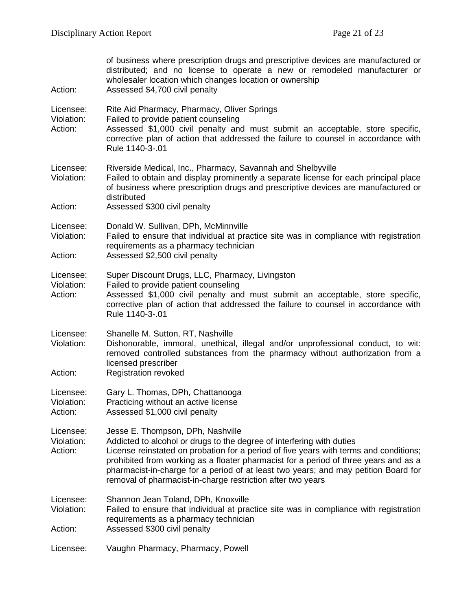| Action:                            | of business where prescription drugs and prescriptive devices are manufactured or<br>distributed; and no license to operate a new or remodeled manufacturer or<br>wholesaler location which changes location or ownership<br>Assessed \$4,700 civil penalty                                                                                                                                                                                       |  |
|------------------------------------|---------------------------------------------------------------------------------------------------------------------------------------------------------------------------------------------------------------------------------------------------------------------------------------------------------------------------------------------------------------------------------------------------------------------------------------------------|--|
| Licensee:<br>Violation:<br>Action: | Rite Aid Pharmacy, Pharmacy, Oliver Springs<br>Failed to provide patient counseling<br>Assessed \$1,000 civil penalty and must submit an acceptable, store specific,<br>corrective plan of action that addressed the failure to counsel in accordance with<br>Rule 1140-3-.01                                                                                                                                                                     |  |
| Licensee:<br>Violation:<br>Action: | Riverside Medical, Inc., Pharmacy, Savannah and Shelbyville<br>Failed to obtain and display prominently a separate license for each principal place<br>of business where prescription drugs and prescriptive devices are manufactured or<br>distributed<br>Assessed \$300 civil penalty                                                                                                                                                           |  |
| Licensee:<br>Violation:<br>Action: | Donald W. Sullivan, DPh, McMinnville<br>Failed to ensure that individual at practice site was in compliance with registration<br>requirements as a pharmacy technician<br>Assessed \$2,500 civil penalty                                                                                                                                                                                                                                          |  |
| Licensee:<br>Violation:<br>Action: | Super Discount Drugs, LLC, Pharmacy, Livingston<br>Failed to provide patient counseling<br>Assessed \$1,000 civil penalty and must submit an acceptable, store specific,<br>corrective plan of action that addressed the failure to counsel in accordance with<br>Rule 1140-3-.01                                                                                                                                                                 |  |
| Licensee:<br>Violation:<br>Action: | Shanelle M. Sutton, RT, Nashville<br>Dishonorable, immoral, unethical, illegal and/or unprofessional conduct, to wit:<br>removed controlled substances from the pharmacy without authorization from a<br>licensed prescriber<br><b>Registration revoked</b>                                                                                                                                                                                       |  |
| Licensee:<br>Violation:<br>Action: | Gary L. Thomas, DPh, Chattanooga<br>Practicing without an active license<br>Assessed \$1,000 civil penalty                                                                                                                                                                                                                                                                                                                                        |  |
| Licensee:<br>Violation:<br>Action: | Jesse E. Thompson, DPh, Nashville<br>Addicted to alcohol or drugs to the degree of interfering with duties<br>License reinstated on probation for a period of five years with terms and conditions;<br>prohibited from working as a floater pharmacist for a period of three years and as a<br>pharmacist-in-charge for a period of at least two years; and may petition Board for<br>removal of pharmacist-in-charge restriction after two years |  |
| Licensee:<br>Violation:<br>Action: | Shannon Jean Toland, DPh, Knoxville<br>Failed to ensure that individual at practice site was in compliance with registration<br>requirements as a pharmacy technician<br>Assessed \$300 civil penalty                                                                                                                                                                                                                                             |  |
| Licensee:                          | Vaughn Pharmacy, Pharmacy, Powell                                                                                                                                                                                                                                                                                                                                                                                                                 |  |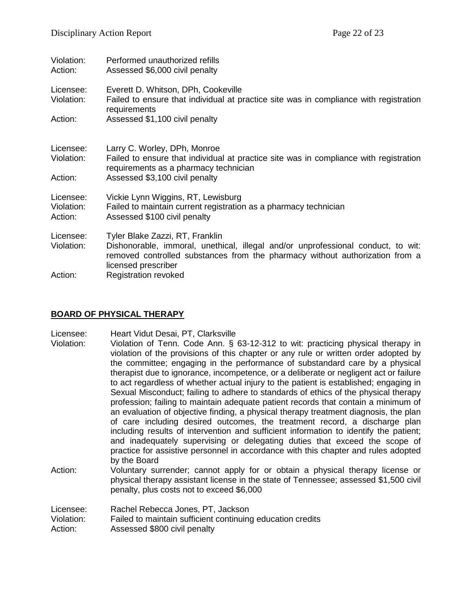| Violation:<br>Action:              | Performed unauthorized refills<br>Assessed \$6,000 civil penalty                                                                                                                                                                                          |
|------------------------------------|-----------------------------------------------------------------------------------------------------------------------------------------------------------------------------------------------------------------------------------------------------------|
| Licensee:<br>Violation:<br>Action: | Everett D. Whitson, DPh, Cookeville<br>Failed to ensure that individual at practice site was in compliance with registration<br>requirements<br>Assessed \$1,100 civil penalty                                                                            |
| Licensee:<br>Violation:<br>Action: | Larry C. Worley, DPh, Monroe<br>Failed to ensure that individual at practice site was in compliance with registration<br>requirements as a pharmacy technician<br>Assessed \$3,100 civil penalty                                                          |
| Licensee:<br>Violation:<br>Action: | Vickie Lynn Wiggins, RT, Lewisburg<br>Failed to maintain current registration as a pharmacy technician<br>Assessed \$100 civil penalty                                                                                                                    |
| Licensee:<br>Violation:<br>Action: | Tyler Blake Zazzi, RT, Franklin<br>Dishonorable, immoral, unethical, illegal and/or unprofessional conduct, to wit:<br>removed controlled substances from the pharmacy without authorization from a<br>licensed prescriber<br><b>Registration revoked</b> |
|                                    |                                                                                                                                                                                                                                                           |

#### **BOARD OF PHYSICAL THERAPY**

- Licensee: Heart Vidut Desai, PT, Clarksville
- Violation: Violation of Tenn. Code Ann. § 63-12-312 to wit: practicing physical therapy in violation of the provisions of this chapter or any rule or written order adopted by the committee; engaging in the performance of substandard care by a physical therapist due to ignorance, incompetence, or a deliberate or negligent act or failure to act regardless of whether actual injury to the patient is established; engaging in Sexual Misconduct; failing to adhere to standards of ethics of the physical therapy profession; failing to maintain adequate patient records that contain a minimum of an evaluation of objective finding, a physical therapy treatment diagnosis, the plan of care including desired outcomes, the treatment record, a discharge plan including results of intervention and sufficient information to identify the patient; and inadequately supervising or delegating duties that exceed the scope of practice for assistive personnel in accordance with this chapter and rules adopted by the Board
- Action: Voluntary surrender; cannot apply for or obtain a physical therapy license or physical therapy assistant license in the state of Tennessee; assessed \$1,500 civil penalty, plus costs not to exceed \$6,000

| Licensee:  | Rachel Rebecca Jones, PT, Jackson                          |
|------------|------------------------------------------------------------|
| Violation: | Failed to maintain sufficient continuing education credits |
| Action:    | Assessed \$800 civil penalty                               |